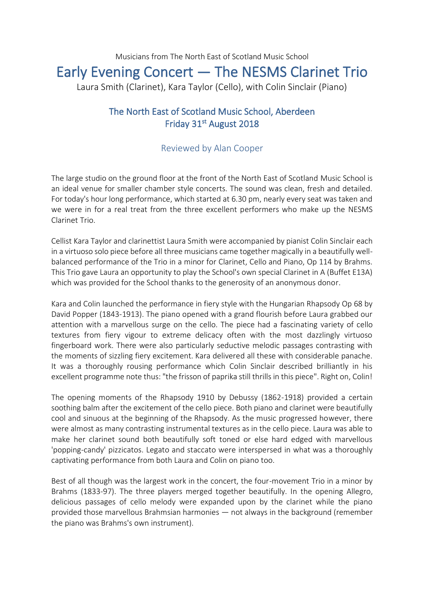## Musicians from The North East of Scotland Music School Early Evening Concert — The NESMS Clarinet Trio

Laura Smith (Clarinet), Kara Taylor (Cello), with Colin Sinclair (Piano)

## The North East of Scotland Music School, Aberdeen Friday 31<sup>st</sup> August 2018

## Reviewed by Alan Cooper

The large studio on the ground floor at the front of the North East of Scotland Music School is an ideal venue for smaller chamber style concerts. The sound was clean, fresh and detailed. For today's hour long performance, which started at 6.30 pm, nearly every seat was taken and we were in for a real treat from the three excellent performers who make up the NESMS Clarinet Trio.

Cellist Kara Taylor and clarinettist Laura Smith were accompanied by pianist Colin Sinclair each in a virtuoso solo piece before all three musicians came together magically in a beautifully wellbalanced performance of the Trio in a minor for Clarinet, Cello and Piano, Op 114 by Brahms. This Trio gave Laura an opportunity to play the School's own special Clarinet in A (Buffet E13A) which was provided for the School thanks to the generosity of an anonymous donor.

Kara and Colin launched the performance in fiery style with the Hungarian Rhapsody Op 68 by David Popper (1843-1913). The piano opened with a grand flourish before Laura grabbed our attention with a marvellous surge on the cello. The piece had a fascinating variety of cello textures from fiery vigour to extreme delicacy often with the most dazzlingly virtuoso fingerboard work. There were also particularly seductive melodic passages contrasting with the moments of sizzling fiery excitement. Kara delivered all these with considerable panache. It was a thoroughly rousing performance which Colin Sinclair described brilliantly in his excellent programme note thus: "the frisson of paprika still thrills in this piece". Right on, Colin!

The opening moments of the Rhapsody 1910 by Debussy (1862-1918) provided a certain soothing balm after the excitement of the cello piece. Both piano and clarinet were beautifully cool and sinuous at the beginning of the Rhapsody. As the music progressed however, there were almost as many contrasting instrumental textures as in the cello piece. Laura was able to make her clarinet sound both beautifully soft toned or else hard edged with marvellous 'popping-candy' pizzicatos. Legato and staccato were interspersed in what was a thoroughly captivating performance from both Laura and Colin on piano too.

Best of all though was the largest work in the concert, the four-movement Trio in a minor by Brahms (1833-97). The three players merged together beautifully. In the opening Allegro, delicious passages of cello melody were expanded upon by the clarinet while the piano provided those marvellous Brahmsian harmonies — not always in the background (remember the piano was Brahms's own instrument).